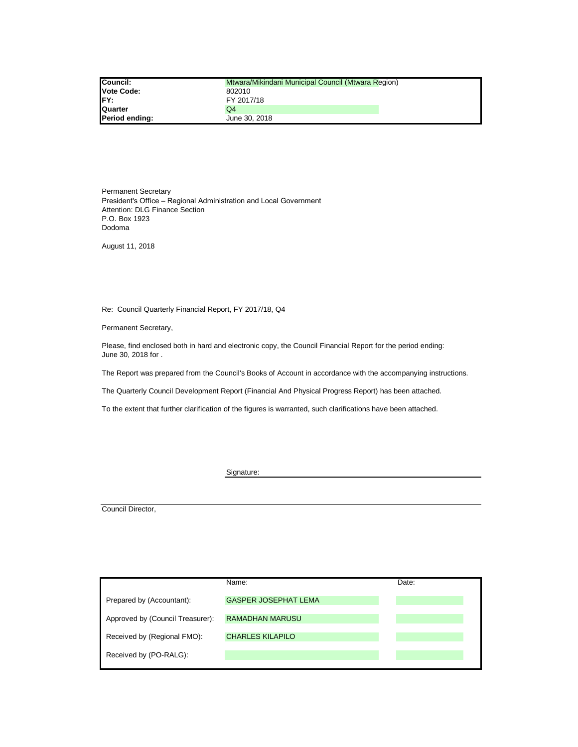| <b>Council:</b>   | Mtwara/Mikindani Municipal Council (Mtwara Region) |
|-------------------|----------------------------------------------------|
| <b>Vote Code:</b> | 802010                                             |
| FY:               | FY 2017/18                                         |
| Quarter           | Q4                                                 |
| Period ending:    | June 30, 2018                                      |

P.O. Box 1923 Dodoma Permanent Secretary Attention: DLG Finance Section President's Office – Regional Administration and Local Government

August 11, 2018

Re: Council Quarterly Financial Report, FY 2017/18, Q4

Permanent Secretary,

Please, find enclosed both in hard and electronic copy, the Council Financial Report for the period ending: June 30, 2018 for .

The Report was prepared from the Council's Books of Account in accordance with the accompanying instructions.

The Quarterly Council Development Report (Financial And Physical Progress Report) has been attached.

To the extent that further clarification of the figures is warranted, such clarifications have been attached.

Signature:

Council Director,

|                                  | Name:                       | Date: |
|----------------------------------|-----------------------------|-------|
| Prepared by (Accountant):        | <b>GASPER JOSEPHAT LEMA</b> |       |
| Approved by (Council Treasurer): | <b>RAMADHAN MARUSU</b>      |       |
| Received by (Regional FMO):      | <b>CHARLES KILAPILO</b>     |       |
| Received by (PO-RALG):           |                             |       |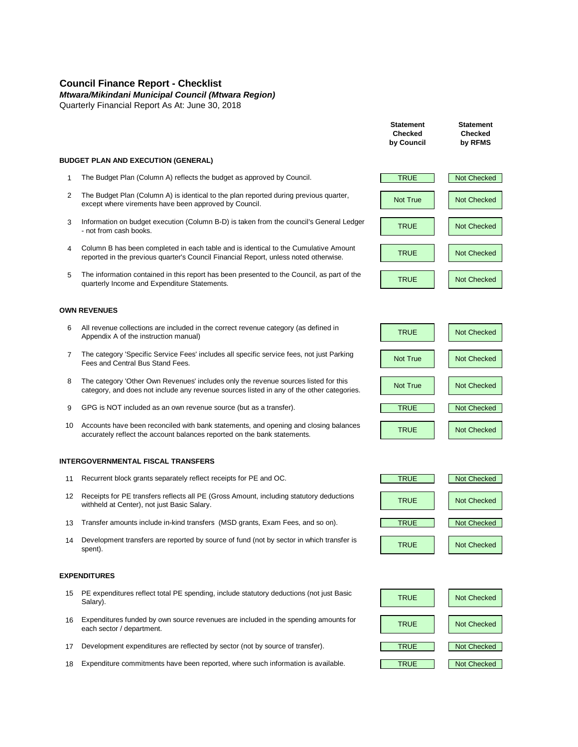# **Council Finance Report - Checklist**

*Mtwara/Mikindani Municipal Council (Mtwara Region)*

Quarterly Financial Report As At: June 30, 2018

### **BUDGET PLAN AND EXECUTION (GENERAL)**

- 1 The Budget Plan (Column A) reflects the budget as approved by Council. TRUE Not Checked
- 2 The Budget Plan (Column A) is identical to the plan reported during previous quarter, except where virements have been approved by Council.
- 3 Information on budget execution (Column B-D) is taken from the council's General Ledger PRUE Not Checked<br>TRUE Not Checked not from cash books.
- 4 Column B has been completed in each table and is identical to the Cumulative Amount reported in the previous quarter's Council Financial Report, unless noted otherwise.<br>
TRUE Not Checked
- 5 The information contained in this report has been presented to the Council, as part of the quarterly Income and Expenditure Statements.

### **OWN REVENUES**

- 6 All revenue collections are included in the correct revenue category (as defined in An revenue conections are included in the correct revenue category (as defined in TRUE TRUE Not Checked
- 7 The category 'Specific Service Fees' includes all specific service fees, not just Parking The category specific service nees includes all specific service rees, not just narking<br>Fees and Central Bus Stand Fees.
- 8 The category 'Other Own Revenues' includes only the revenue sources listed for this The category Other Own Revenues includes only the revenue sources listed for this<br>category, and does not include any revenue sources listed in any of the other categories.
- 9 GPG is NOT included as an own revenue source (but as a transfer). TRUE TRUE Not Checked
- 10 Accounts have been reconciled with bank statements, and opening and closing balances accurately reflect the account balances reported on the bank statements.

### **INTERGOVERNMENTAL FISCAL TRANSFERS**

- 11 Recurrent block grants separately reflect receipts for PE and OC. TRUE Not Checked
- 12 Receipts for PE transfers reflects all PE (Gross Amount, including statutory deductions Withheld at Center), not just Basic Salary.<br>Withheld at Center), not just Basic Salary.
- 13 Transfer amounts include in-kind transfers (MSD grants, Exam Fees, and so on). TRUE Nullet Not Checked
- 14 Development transfers are reported by source of fund (not by sector in which transfer is TRUE Not Checked<br>spent).

#### **EXPENDITURES**

- 15 PE expenditures reflect total PE spending, include statutory deductions (not just Basic **Not TRUE** Not Checked<br>Salary).
- 16 Expenditures funded by own source revenues are included in the spending amounts for TRUE Not Checked<br>each sector / department.
- 17 Development expenditures are reflected by sector (not by source of transfer). Not Checked Not Checked Not Checked
- 18 Expenditure commitments have been reported, where such information is available. TRUE Not Checked









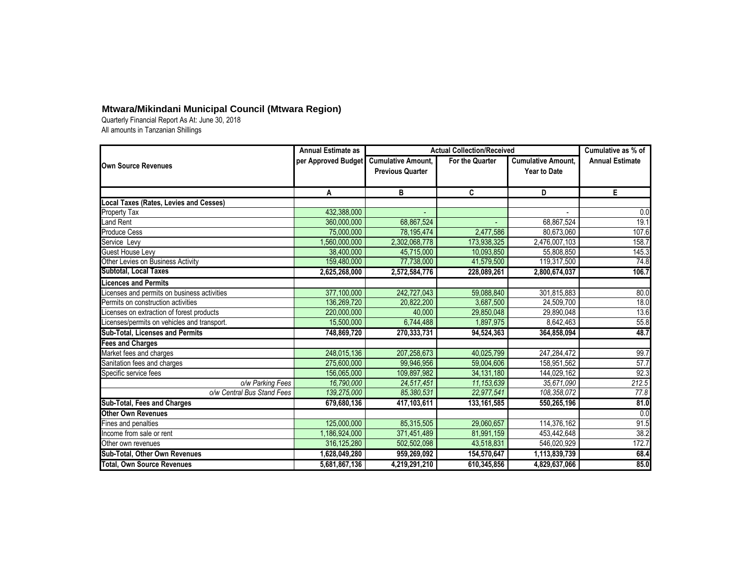|                                               | <b>Annual Estimate as</b> | <b>Actual Collection/Received</b>                    | Cumulative as % of |                                                  |                        |
|-----------------------------------------------|---------------------------|------------------------------------------------------|--------------------|--------------------------------------------------|------------------------|
| <b>Own Source Revenues</b>                    | per Approved Budget       | <b>Cumulative Amount,</b><br><b>Previous Quarter</b> | For the Quarter    | <b>Cumulative Amount,</b><br><b>Year to Date</b> | <b>Annual Estimate</b> |
|                                               | A                         | B                                                    | C                  | D                                                | E.                     |
| <b>Local Taxes (Rates, Levies and Cesses)</b> |                           |                                                      |                    |                                                  |                        |
| Property Tax                                  | 432,388,000               |                                                      |                    |                                                  | 0.0                    |
| Land Rent                                     | 360,000,000               | 68,867,524                                           |                    | 68,867,524                                       | 19.1                   |
| Produce Cess                                  | 75,000,000                | 78,195,474                                           | 2,477,586          | 80,673,060                                       | 107.6                  |
| Service Levy                                  | ,560,000,000              | 2,302,068,778                                        | 173,938,325        | 2,476,007,103                                    | 158.7                  |
| <b>Guest House Levy</b>                       | 38,400,000                | 45,715,000                                           | 10,093,850         | 55,808,850                                       | 145.3                  |
| Other Levies on Business Activity             | 159,480,000               | 77,738,000                                           | 41,579,500         | 119,317,500                                      | 74.8                   |
| <b>Subtotal, Local Taxes</b>                  | 2,625,268,000             | 2,572,584,776                                        | 228,089,261        | 2,800,674,037                                    | 106.7                  |
| <b>Licences and Permits</b>                   |                           |                                                      |                    |                                                  |                        |
| icenses and permits on business activities    | 377,100,000               | 242,727,043                                          | 59,088,840         | 301,815,883                                      | 80.0                   |
| Permits on construction activities            | 136,269,720               | 20,822,200                                           | 3,687,500          | 24,509,700                                       | 18.0                   |
| icenses on extraction of forest products      | 220,000,000               | 40,000                                               | 29,850,048         | 29,890,048                                       | 13.6                   |
| Licenses/permits on vehicles and transport.   | 15,500,000                | 6,744,488                                            | 1,897,975          | 8,642,463                                        | 55.8                   |
| <b>Sub-Total, Licenses and Permits</b>        | 748,869,720               | 270,333,731                                          | 94,524,363         | 364,858,094                                      | 48.7                   |
| <b>Fees and Charges</b>                       |                           |                                                      |                    |                                                  |                        |
| Market fees and charges                       | 248,015,136               | 207,258,673                                          | 40,025,799         | 247,284,472                                      | 99.7                   |
| Sanitation fees and charges                   | 275,600,000               | 99,946,956                                           | 59,004,606         | 158,951,562                                      | 57.7                   |
| Specific service fees                         | 156,065,000               | 109,897,982                                          | 34, 131, 180       | 144,029,162                                      | 92.3                   |
| o/w Parking Fees                              | 16,790,000                | 24,517,451                                           | 11, 153, 639       | 35,671,090                                       | 212.5                  |
| o/w Central Bus Stand Fees                    | 139,275,000               | 85,380,531                                           | 22,977,541         | 108,358,072                                      | 77.8                   |
| <b>Sub-Total, Fees and Charges</b>            | 679,680,136               | 417,103,611                                          | 133, 161, 585      | 550,265,196                                      | 81.0                   |
| <b>Other Own Revenues</b>                     |                           |                                                      |                    |                                                  | 0.0                    |
| Fines and penalties                           | 125,000,000               | 85,315,505                                           | 29,060,657         | 114,376,162                                      | 91.5                   |
| Income from sale or rent                      | 1,186,924,000             | 371,451,489                                          | 81,991,159         | 453,442,648                                      | 38.2                   |
| Other own revenues                            | 316, 125, 280             | 502,502,098                                          | 43,518,831         | 546,020,929                                      | 172.7                  |
| Sub-Total, Other Own Revenues                 | 1,628,049,280             | 959,269,092                                          | 154,570,647        | 1,113,839,739                                    | 68.4                   |
| <b>Total, Own Source Revenues</b>             | 5,681,867,136             | 4,219,291,210                                        | 610,345,856        | 4,829,637,066                                    | 85.0                   |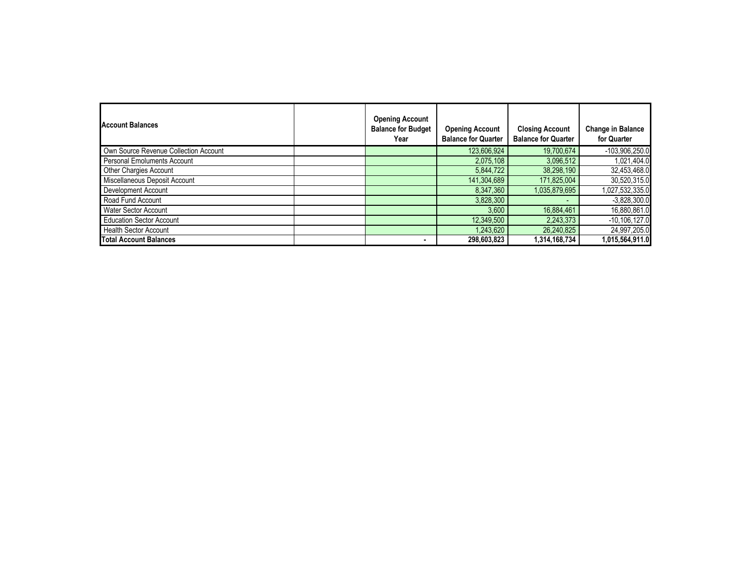| Account Balances                      | <b>Opening Account</b><br><b>Balance for Budget</b><br>Year | <b>Opening Account</b><br><b>Balance for Quarter</b> | <b>Closing Account</b><br><b>Balance for Quarter</b> | <b>Change in Balance</b><br>for Quarter |
|---------------------------------------|-------------------------------------------------------------|------------------------------------------------------|------------------------------------------------------|-----------------------------------------|
| Own Source Revenue Collection Account |                                                             | 123,606,924                                          | 19,700,674                                           | $-103,906,250.0$                        |
| <b>Personal Emoluments Account</b>    |                                                             | 2,075,108                                            | 3,096,512                                            | 1,021,404.0                             |
| Other Chargies Account                |                                                             | 5,844,722                                            | 38,298,190                                           | 32,453,468.0                            |
| Miscellaneous Deposit Account         |                                                             | 141,304,689                                          | 171,825,004                                          | 30,520,315.0                            |
| Development Account                   |                                                             | 8,347,360                                            | 1,035,879,695                                        | 1,027,532,335.0                         |
| Road Fund Account                     |                                                             | 3,828,300                                            |                                                      | $-3,828,300.0$                          |
| <b>Water Sector Account</b>           |                                                             | 3,600                                                | 16,884,461                                           | 16,880,861.0                            |
| <b>Education Sector Account</b>       |                                                             | 12,349,500                                           | 2,243,373                                            | $-10, 106, 127.0$                       |
| <b>Health Sector Account</b>          |                                                             | 1,243,620                                            | 26,240,825                                           | 24,997,205.0                            |
| <b>Total Account Balances</b>         |                                                             | 298,603,823                                          | 1,314,168,734                                        | 1,015,564,911.0                         |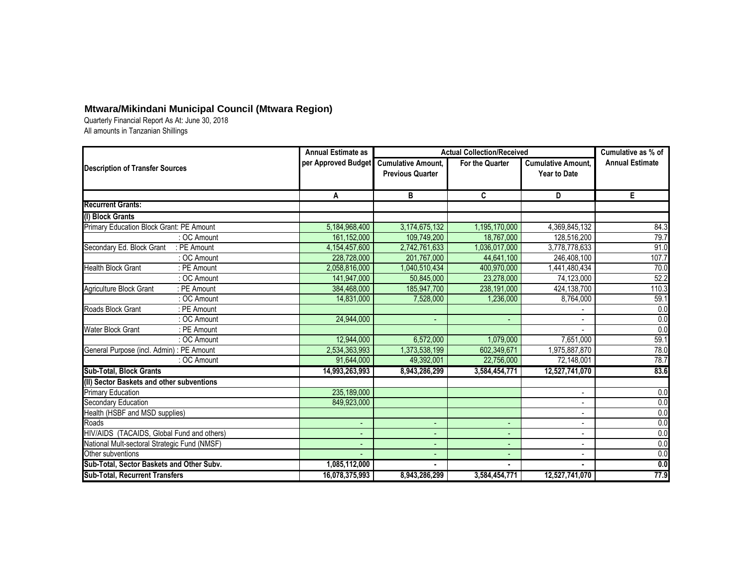|                                               | <b>Annual Estimate as</b> |                                                      | <b>Actual Collection/Received</b> |                                                  | Cumulative as % of     |
|-----------------------------------------------|---------------------------|------------------------------------------------------|-----------------------------------|--------------------------------------------------|------------------------|
| <b>Description of Transfer Sources</b>        | per Approved Budget       | <b>Cumulative Amount,</b><br><b>Previous Quarter</b> | For the Quarter                   | <b>Cumulative Amount,</b><br><b>Year to Date</b> | <b>Annual Estimate</b> |
|                                               | A                         | B                                                    | C                                 | D                                                | E.                     |
| <b>Recurrent Grants:</b>                      |                           |                                                      |                                   |                                                  |                        |
| (I) Block Grants                              |                           |                                                      |                                   |                                                  |                        |
| Primary Education Block Grant: PE Amount      | 5,184,968,400             | 3,174,675,132                                        | 1,195,170,000                     | 4,369,845,132                                    | 84.3                   |
| : OC Amount                                   | 161,152,000               | 109,749,200                                          | 18,767,000                        | 128,516,200                                      | 79.7                   |
| Secondary Ed. Block Grant<br>: PE Amount      | 4,154,457,600             | 2,742,761,633                                        | 1,036,017,000                     | 3,778,778,633                                    | 91.0                   |
| : OC Amount                                   | 228,728,000               | 201,767,000                                          | 44,641,100                        | 246,408,100                                      | 107.7                  |
| <b>Health Block Grant</b><br>: PE Amount      | 2,058,816,000             | 1,040,510,434                                        | 400,970,000                       | 1,441,480,434                                    | 70.0                   |
| : OC Amount                                   | 141,947,000               | 50,845,000                                           | 23,278,000                        | 74,123,000                                       | 52.2                   |
| : PE Amount<br><b>Agriculture Block Grant</b> | 384,468,000               | 185,947,700                                          | 238,191,000                       | 424,138,700                                      | 110.3                  |
| : OC Amount                                   | 14,831,000                | 7,528,000                                            | 1,236,000                         | 8,764,000                                        | 59.1                   |
| Roads Block Grant<br>: PE Amount              |                           |                                                      |                                   |                                                  | $\overline{0.0}$       |
| : OC Amount                                   | 24,944,000                |                                                      |                                   |                                                  | 0.0                    |
| <b>Water Block Grant</b><br>: PE Amount       |                           |                                                      |                                   |                                                  | 0.0                    |
| : OC Amount                                   | 12,944,000                | 6,572,000                                            | 1,079,000                         | 7,651,000                                        | 59.1                   |
| General Purpose (incl. Admin) : PE Amount     | 2,534,363,993             | 1,373,538,199                                        | 602,349,671                       | 1,975,887,870                                    | 78.0                   |
| : OC Amount                                   | 91,644,000                | 49,392,001                                           | 22,756,000                        | 72,148,001                                       | 78.7                   |
| <b>Sub-Total, Block Grants</b>                | 14,993,263,993            | 8,943,286,299                                        | 3,584,454,771                     | 12,527,741,070                                   | 83.6                   |
| (II) Sector Baskets and other subventions     |                           |                                                      |                                   |                                                  |                        |
| <b>Primary Education</b>                      | 235,189,000               |                                                      |                                   |                                                  | 0.0                    |
| Secondary Education                           | 849,923,000               |                                                      |                                   |                                                  | 0.0                    |
| Health (HSBF and MSD supplies)                |                           |                                                      |                                   | $\blacksquare$                                   | 0.0                    |
| Roads                                         |                           |                                                      |                                   |                                                  | 0.0                    |
| HIV/AIDS (TACAIDS, Global Fund and others)    |                           |                                                      |                                   | $\blacksquare$                                   | 0.0                    |
| National Mult-sectoral Strategic Fund (NMSF)  |                           |                                                      |                                   | $\qquad \qquad \blacksquare$                     | 0.0                    |
| Other subventions                             |                           |                                                      |                                   |                                                  | 0.0                    |
| Sub-Total, Sector Baskets and Other Subv.     | 1,085,112,000             |                                                      |                                   |                                                  | 0.0                    |
| <b>Sub-Total, Recurrent Transfers</b>         | 16,078,375,993            | 8,943,286,299                                        | 3,584,454,771                     | 12,527,741,070                                   | 77.9                   |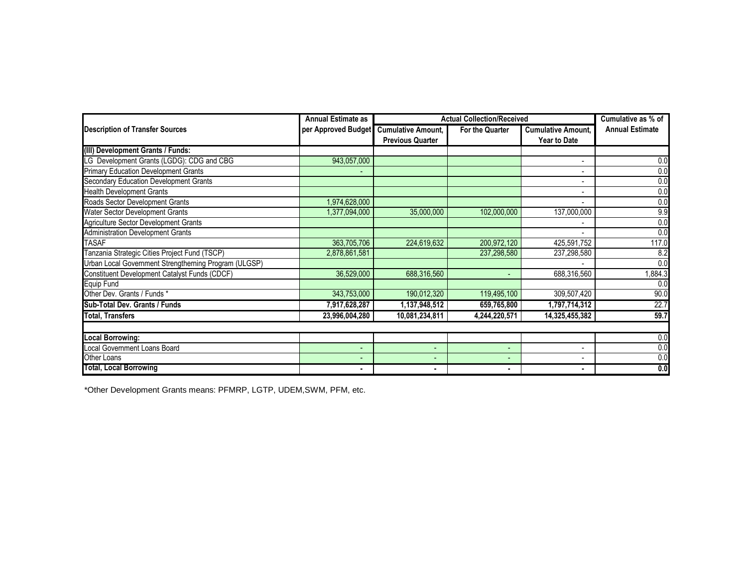|                                                       | <b>Actual Collection/Received</b> | Cumulative as % of        |                          |                           |                        |
|-------------------------------------------------------|-----------------------------------|---------------------------|--------------------------|---------------------------|------------------------|
| <b>Description of Transfer Sources</b>                | per Approved Budget               | <b>Cumulative Amount,</b> | For the Quarter          | <b>Cumulative Amount,</b> | <b>Annual Estimate</b> |
|                                                       |                                   | <b>Previous Quarter</b>   |                          | <b>Year to Date</b>       |                        |
| (III) Development Grants / Funds:                     |                                   |                           |                          |                           |                        |
| LG Development Grants (LGDG): CDG and CBG             | 943,057,000                       |                           |                          |                           | 0.0                    |
| <b>Primary Education Development Grants</b>           |                                   |                           |                          |                           | 0.0                    |
| Secondary Education Development Grants                |                                   |                           |                          |                           | 0.0                    |
| <b>Health Development Grants</b>                      |                                   |                           |                          |                           | 0.0                    |
| Roads Sector Development Grants                       | 1,974,628,000                     |                           |                          |                           | 0.0                    |
| Water Sector Development Grants                       | 1,377,094,000                     | 35,000,000                | 102,000,000              | 137,000,000               | 9.9                    |
| Agriculture Sector Development Grants                 |                                   |                           |                          |                           | 0.0                    |
| <b>Administration Development Grants</b>              |                                   |                           |                          |                           | 0.0                    |
| <b>TASAF</b>                                          | 363,705,706                       | 224,619,632               | 200,972,120              | 425,591,752               | 117.0                  |
| Tanzania Strategic Cities Project Fund (TSCP)         | 2,878,861,581                     |                           | 237,298,580              | 237,298,580               | 8.2                    |
| Urban Local Government Strengtherning Program (ULGSP) |                                   |                           |                          |                           | $\overline{0.0}$       |
| Constituent Development Catalyst Funds (CDCF)         | 36,529,000                        | 688,316,560               | $\overline{\phantom{a}}$ | 688,316,560               | 1,884.3                |
| <b>Equip Fund</b>                                     |                                   |                           |                          |                           | 0.0                    |
| Other Dev. Grants / Funds *                           | 343,753,000                       | 190,012,320               | 119,495,100              | 309,507,420               | 90.0                   |
| Sub-Total Dev. Grants / Funds                         | 7,917,628,287                     | 1,137,948,512             | 659,765,800              | 1,797,714,312             | 22.7                   |
| <b>Total, Transfers</b>                               | 23,996,004,280                    | 10,081,234,811            | 4,244,220,571            | 14,325,455,382            | 59.7                   |
|                                                       |                                   |                           |                          |                           |                        |
| <b>Local Borrowing:</b>                               |                                   |                           |                          |                           | 0.0                    |
| Local Government Loans Board                          | $\qquad \qquad \blacksquare$      | $\blacksquare$            | $\overline{\phantom{a}}$ | $\blacksquare$            | 0.0                    |
| Other Loans                                           |                                   |                           |                          |                           | 0.0                    |
| Total, Local Borrowing                                |                                   |                           |                          |                           | 0.0                    |

\*Other Development Grants means: PFMRP, LGTP, UDEM,SWM, PFM, etc.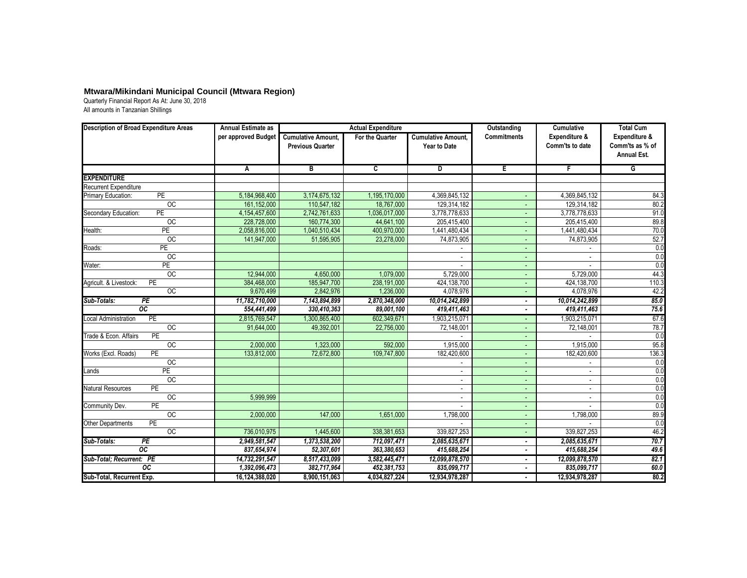| <b>Description of Broad Expenditure Areas</b> | <b>Annual Estimate as</b> |                                                      | <b>Actual Expenditure</b> |                                                  | Outstanding        | <b>Cumulative</b>                | <b>Total Cum</b>                                       |
|-----------------------------------------------|---------------------------|------------------------------------------------------|---------------------------|--------------------------------------------------|--------------------|----------------------------------|--------------------------------------------------------|
|                                               | per approved Budget       | <b>Cumulative Amount,</b><br><b>Previous Quarter</b> | <b>For the Quarter</b>    | <b>Cumulative Amount,</b><br><b>Year to Date</b> | <b>Commitments</b> | Expenditure &<br>Comm'ts to date | Expenditure &<br>Comm'ts as % of<br><b>Annual Est.</b> |
|                                               | $\overline{A}$            | $\overline{B}$                                       | $\overline{\mathsf{c}}$   | $\overline{\mathsf{D}}$                          | E                  | $\mathsf F$                      | $\overline{G}$                                         |
| <b>EXPENDITURE</b>                            |                           |                                                      |                           |                                                  |                    |                                  |                                                        |
| <b>Recurrent Expenditure</b>                  |                           |                                                      |                           |                                                  |                    |                                  |                                                        |
| PE<br>Primary Education:                      | 5,184,968,400             | 3,174,675,132                                        | 1,195,170,000             | 4,369,845,132                                    |                    | 4,369,845,132                    | 84.3                                                   |
| $\overline{OC}$                               | 161,152,000               | 110,547,182                                          | 18,767,000                | 129,314,182                                      |                    | 129,314,182                      | 80.2                                                   |
| PE<br>Secondary Education:                    | 4,154,457,600             | 2,742,761,633                                        | 1,036,017,000             | 3,778,778,633                                    |                    | 3,778,778,633                    | 91.0                                                   |
| $\overline{OC}$                               | 228,728,000               | 160,774,300                                          | 44,641,100                | 205,415,400                                      |                    | 205,415,400                      | 89.8                                                   |
| Health:<br>$\overline{PE}$                    | 2,058,816,000             | 1,040,510,434                                        | 400,970,000               | 1,441,480,434                                    |                    | 1,441,480,434                    | 70.0                                                   |
| $\overline{OC}$                               | 141,947,000               | 51,595,905                                           | 23,278,000                | 74,873,905                                       |                    | 74,873,905                       | 52.7                                                   |
| PE<br>Roads:                                  |                           |                                                      |                           |                                                  |                    |                                  | 0.0                                                    |
| OC                                            |                           |                                                      |                           |                                                  |                    |                                  | 0.0                                                    |
| PE<br>Water:                                  |                           |                                                      |                           |                                                  |                    |                                  | 0.0                                                    |
| OC                                            | 12,944,000                | 4,650,000                                            | 1,079,000                 | 5,729,000                                        |                    | 5,729,000                        | 44.3                                                   |
| PE<br>Agricult. & Livestock:                  | 384,468,000               | 185,947,700                                          | 238,191,000               | 424,138,700                                      |                    | 424,138,700                      | 110.3                                                  |
| OC                                            | 9,670,499                 | 2,842,976                                            | 1,236,000                 | 4,078,976                                        |                    | 4,078,976                        | 42.2                                                   |
| Sub-Totals:<br>PE                             | 11,782,710,000            | 7,143,894,899                                        | 2,870,348,000             | 10,014,242,899                                   |                    | 10,014,242,899                   | 85.0                                                   |
| $\overline{OC}$                               | 554,441,499               | 330,410,363                                          | 89,001,100                | 419,411,463                                      |                    | 419,411,463                      | 75.6                                                   |
| PE<br><b>Local Administration</b>             | 2,815,769,547             | 1,300,865,400                                        | 602,349,671               | 1,903,215,071                                    |                    | 1,903,215,071                    | 67.6                                                   |
| $\overline{OC}$                               | 91,644,000                | 49,392,001                                           | 22,756,000                | 72,148,001                                       |                    | 72,148,001                       | 78.7                                                   |
| PE<br>Trade & Econ. Affairs                   |                           |                                                      |                           |                                                  |                    |                                  | 0.0                                                    |
| $\overline{OC}$                               | 2,000,000                 | 1,323,000                                            | 592,000                   | 1,915,000                                        |                    | 1,915,000                        | 95.8                                                   |
| PE<br>Works (Excl. Roads)                     | 133,812,000               | 72,672,800                                           | 109,747,800               | 182,420,600                                      |                    | 182,420,600                      | 136.3                                                  |
| OC                                            |                           |                                                      |                           |                                                  |                    |                                  | 0.0                                                    |
| <b>PE</b><br>Lands                            |                           |                                                      |                           | $\sim$                                           |                    | $\sim$                           | 0.0                                                    |
| $\overline{OC}$                               |                           |                                                      |                           | $\blacksquare$                                   |                    | $\sim$                           | 0.0                                                    |
| PE<br><b>Natural Resources</b>                |                           |                                                      |                           | $\sim$                                           |                    |                                  | 0.0                                                    |
| $\overline{OC}$                               | 5,999,999                 |                                                      |                           |                                                  |                    | $\sim$                           | 0.0                                                    |
| PE<br>Community Dev.                          |                           |                                                      |                           |                                                  |                    |                                  | 0.0                                                    |
| OC                                            | 2,000,000                 | 147,000                                              | 1,651,000                 | 1,798,000                                        |                    | 1,798,000                        | 89.9                                                   |
| PE<br><b>Other Departments</b>                |                           |                                                      |                           |                                                  |                    |                                  | 0.0                                                    |
| OC                                            | 736,010,975               | 1,445,600                                            | 338,381,653               | 339,827,253                                      |                    | 339,827,253                      | 46.2                                                   |
| Sub-Totals:<br>PE                             | 2,949,581,547             | 1,373,538,200                                        | 712,097,471               | 2,085,635,671                                    |                    | 2,085,635,671                    | 70.7                                                   |
| $\overline{OC}$                               | 837,654,974               | 52,307,601                                           | 363,380,653               | 415,688,254                                      |                    | 415,688,254                      | 49.6                                                   |
| Sub-Total; Recurrent: PE                      | 14,732,291,547            | 8,517,433,099                                        | 3,582,445,471             | 12,099,878,570                                   |                    | 12,099,878,570                   | 82.1                                                   |
| $\overline{OC}$                               | 1,392,096,473             | 382,717,964                                          | 452,381,753               | 835,099,717                                      |                    | 835,099,717                      | 60.0                                                   |
| Sub-Total, Recurrent Exp.                     | 16,124,388,020            | 8,900,151,063                                        | 4,034,827,224             | 12,934,978,287                                   |                    | 12,934,978,287                   | 80.2                                                   |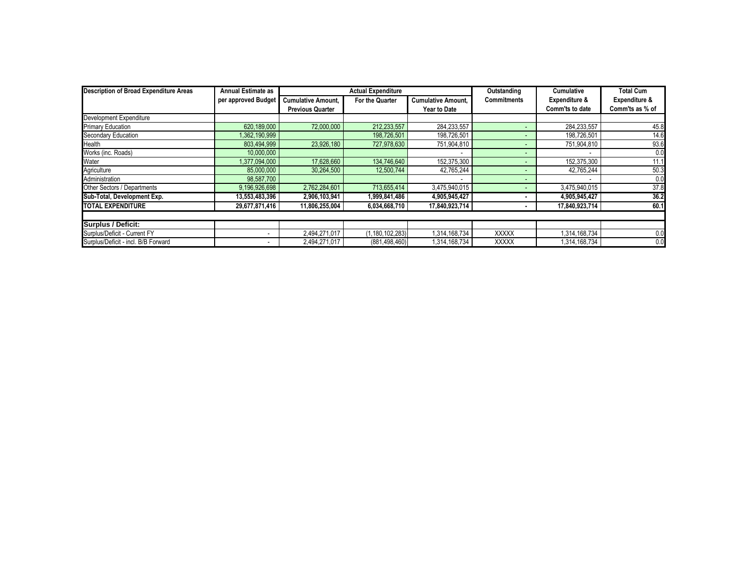| <b>Description of Broad Expenditure Areas</b> | <b>Annual Estimate as</b> | <b>Actual Expenditure</b> |                    |                           | Outstanding        | <b>Cumulative</b>        | <b>Total Cum</b>         |
|-----------------------------------------------|---------------------------|---------------------------|--------------------|---------------------------|--------------------|--------------------------|--------------------------|
|                                               | per approved Budget       | <b>Cumulative Amount,</b> | For the Quarter    | <b>Cumulative Amount,</b> | <b>Commitments</b> | <b>Expenditure &amp;</b> | <b>Expenditure &amp;</b> |
|                                               |                           | <b>Previous Quarter</b>   |                    | <b>Year to Date</b>       |                    | Comm'ts to date          | Comm'ts as % of          |
| Development Expenditure                       |                           |                           |                    |                           |                    |                          |                          |
| <b>Primary Education</b>                      | 620,189,000               | 72,000,000                | 212,233,557        | 284,233,557               |                    | 284,233,557              | 45.8                     |
| <b>Secondary Education</b>                    | 1,362,190,999             |                           | 198,726,501        | 198,726,501               |                    | 198,726,501              | 14.6                     |
| Health                                        | 803,494,999               | 23,926,180                | 727,978,630        | 751,904,810               |                    | 751,904,810              | 93.6                     |
| Works (inc. Roads)                            | 10,000,000                |                           |                    |                           |                    |                          | 0.0                      |
| Water                                         | 1,377,094,000             | 17,628,660                | 134,746,640        | 152,375,300               |                    | 152,375,300              | 11.1                     |
| Agriculture                                   | 85,000,000                | 30,264,500                | 12,500,744         | 42,765,244                |                    | 42,765,244               | 50.3                     |
| Administration                                | 98,587,700                |                           |                    |                           |                    |                          | 0.0                      |
| Other Sectors / Departments                   | 9,196,926,698             | 2,762,284,601             | 713,655,414        | 3,475,940,015             |                    | 3,475,940,015            | 37.8                     |
| Sub-Total, Development Exp.                   | 13,553,483,396            | 2,906,103,941             | 1,999,841,486      | 4,905,945,427             |                    | 4,905,945,427            | 36.2                     |
| <b>TOTAL EXPENDITURE</b>                      | 29,677,871,416            | 11,806,255,004            | 6,034,668,710      | 17,840,923,714            |                    | 17,840,923,714           | 60.1                     |
| <b>Surplus / Deficit:</b>                     |                           |                           |                    |                           |                    |                          |                          |
| Surplus/Deficit - Current FY                  |                           | 2,494,271,017             | (1, 180, 102, 283) | 1,314,168,734             | <b>XXXXX</b>       | 1,314,168,734            | 0.0                      |
| Surplus/Deficit - incl. B/B Forward           |                           | 2,494,271,017             | (881, 498, 460)    | 1,314,168,734             | <b>XXXXX</b>       | 1,314,168,734            | 0.0                      |